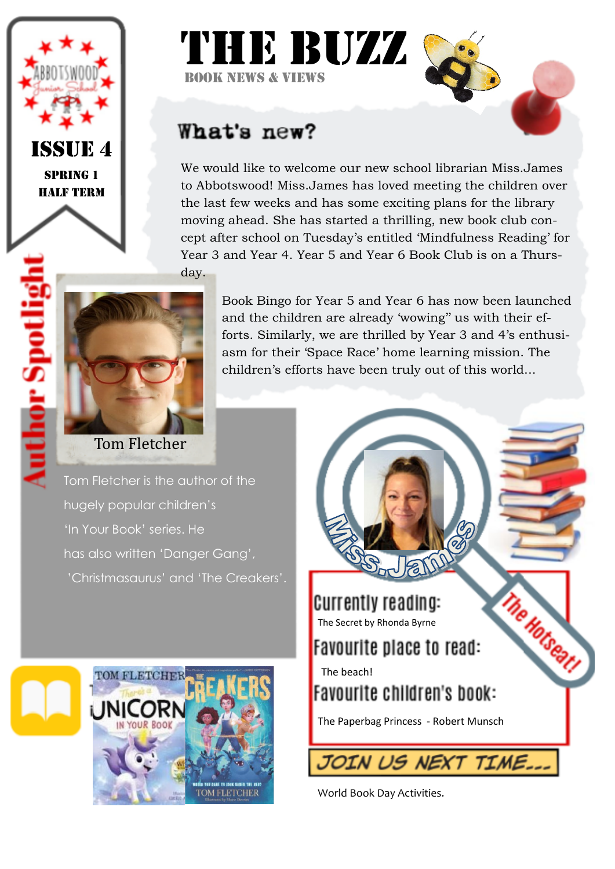

Spring 1 Half Term

## THE BUZZ Book news & Views

## What's new?

We would like to welcome our new school librarian Miss.James to Abbotswood! Miss.James has loved meeting the children over the last few weeks and has some exciting plans for the library moving ahead. She has started a thrilling, new book club concept after school on Tuesday's entitled 'Mindfulness Reading' for Year 3 and Year 4. Year 5 and Year 6 Book Club is on a Thursday.



Book Bingo for Year 5 and Year 6 has now been launched and the children are already 'wowing'' us with their efforts. Similarly, we are thrilled by Year 3 and 4's enthusiasm for their 'Space Race' home learning mission. The children's efforts have been truly out of this world...

Tom Fletcher is the author of the hugely popular children's 'In Your Book' series. He has also written 'Danger Gang', 'Christmasaurus' and 'The Creakers'.





World Book Day Activities.